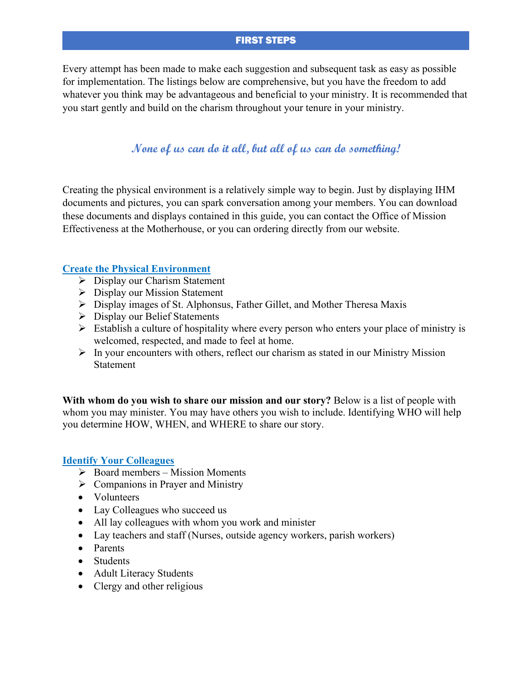## FIRST STEPS

Every attempt has been made to make each suggestion and subsequent task as easy as possible for implementation. The listings below are comprehensive, but you have the freedom to add whatever you think may be advantageous and beneficial to your ministry. It is recommended that you start gently and build on the charism throughout your tenure in your ministry.

# **None of us can do it all, but all of us can do something!**

Creating the physical environment is a relatively simple way to begin. Just by displaying IHM documents and pictures, you can spark conversation among your members. You can download these documents and displays contained in this guide, you can contact the Office of Mission Effectiveness at the Motherhouse, or you can ordering directly from our website.

## **Create the Physical Environment**

- $\triangleright$  Display our Charism Statement
- $\triangleright$  Display our Mission Statement
- Display images of St. Alphonsus, Father Gillet, and Mother Theresa Maxis
- Display our Belief Statements
- $\triangleright$  Establish a culture of hospitality where every person who enters your place of ministry is welcomed, respected, and made to feel at home.
- $\triangleright$  In your encounters with others, reflect our charism as stated in our Ministry Mission Statement

**With whom do you wish to share our mission and our story?** Below is a list of people with whom you may minister. You may have others you wish to include. Identifying WHO will help you determine HOW, WHEN, and WHERE to share our story.

### **Identify Your Colleagues**

- $\triangleright$  Board members Mission Moments
- $\triangleright$  Companions in Prayer and Ministry
- Volunteers
- Lay Colleagues who succeed us
- All lay colleagues with whom you work and minister
- Lay teachers and staff (Nurses, outside agency workers, parish workers)
- Parents
- Students
- Adult Literacy Students
- Clergy and other religious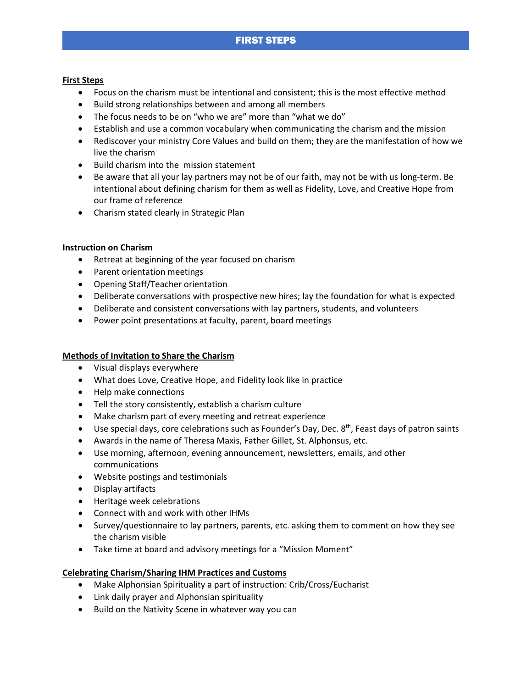## FIRST STEPS

#### **First Steps**

- Focus on the charism must be intentional and consistent; this is the most effective method
- Build strong relationships between and among all members
- The focus needs to be on "who we are" more than "what we do"
- Establish and use a common vocabulary when communicating the charism and the mission
- Rediscover your ministry Core Values and build on them; they are the manifestation of how we live the charism
- Build charism into the mission statement
- Be aware that all your lay partners may not be of our faith, may not be with us long-term. Be intentional about defining charism for them as well as Fidelity, Love, and Creative Hope from our frame of reference
- Charism stated clearly in Strategic Plan

#### **Instruction on Charism**

- Retreat at beginning of the year focused on charism
- Parent orientation meetings
- Opening Staff/Teacher orientation
- Deliberate conversations with prospective new hires; lay the foundation for what is expected
- Deliberate and consistent conversations with lay partners, students, and volunteers
- Power point presentations at faculty, parent, board meetings

### **Methods of Invitation to Share the Charism**

- Visual displays everywhere
- What does Love, Creative Hope, and Fidelity look like in practice
- Help make connections
- Tell the story consistently, establish a charism culture
- Make charism part of every meeting and retreat experience
- Use special days, core celebrations such as Founder's Day, Dec. 8<sup>th</sup>, Feast days of patron saints
- Awards in the name of Theresa Maxis, Father Gillet, St. Alphonsus, etc.
- Use morning, afternoon, evening announcement, newsletters, emails, and other communications
- Website postings and testimonials
- Display artifacts
- Heritage week celebrations
- Connect with and work with other IHMs
- Survey/questionnaire to lay partners, parents, etc. asking them to comment on how they see the charism visible
- Take time at board and advisory meetings for a "Mission Moment"

#### **Celebrating Charism/Sharing IHM Practices and Customs**

- Make Alphonsian Spirituality a part of instruction: Crib/Cross/Eucharist
- Link daily prayer and Alphonsian spirituality
- Build on the Nativity Scene in whatever way you can